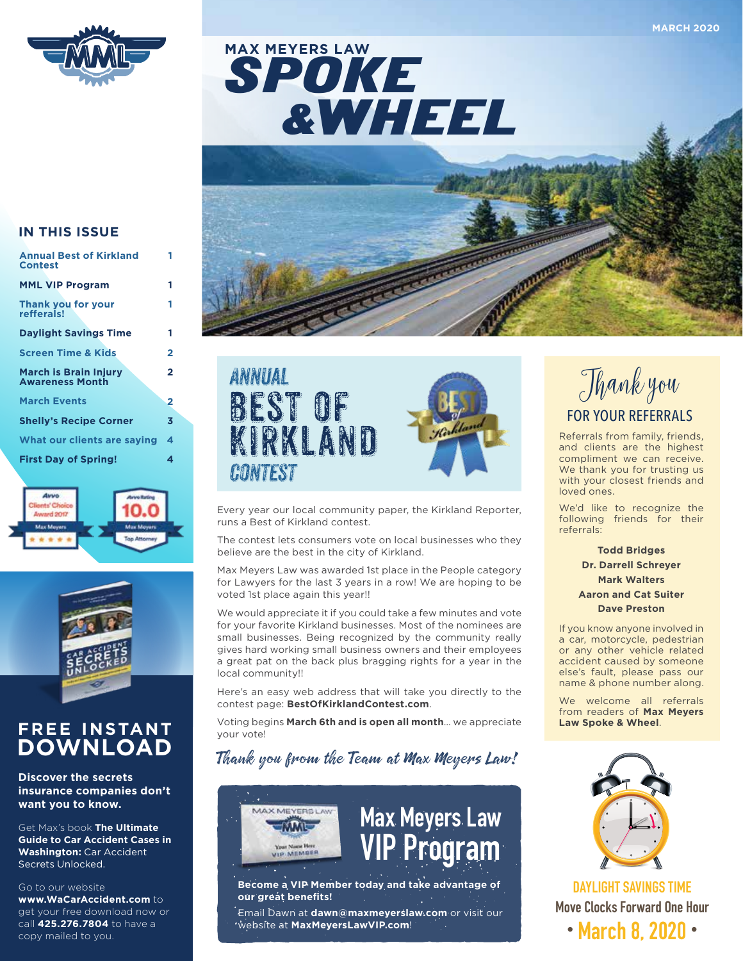

SPOKE &WHEEL **MAX MEYERS LAW**



#### **IN THIS ISSUE**

| <b>Annual Best of Kirkland</b><br><b>Contest</b>       |   |
|--------------------------------------------------------|---|
| <b>MML VIP Program</b>                                 | 1 |
| <b>Thank you for your</b><br>refferals!                | 1 |
| <b>Daylight Savings Time</b>                           | 1 |
| <b>Screen Time &amp; Kids</b>                          | 2 |
| <b>March is Brain Injury</b><br><b>Awareness Month</b> | 2 |
| <b>March Events</b>                                    | 2 |
| <b>Shelly's Recipe Corner</b>                          | 3 |
| What our clients are saying                            | 4 |
| <b>First Day of Spring!</b>                            | 4 |





### **FREE INSTANT DOWNLOAD**

**Discover the secrets insurance companies don't want you to know.** 

Get Max's book **The Ultimate Guide to Car Accident Cases in Washington:** Car Accident Secrets Unlocked.

#### Go to our website

**www.WaCarAccident.com** to get your free download now or call **425.276.7804** to have a copy mailed to you.





Every year our local community paper, the Kirkland Reporter, runs a Best of Kirkland contest.

The contest lets consumers vote on local businesses who they believe are the best in the city of Kirkland.

Max Meyers Law was awarded 1st place in the People category for Lawyers for the last 3 years in a row! We are hoping to be voted 1st place again this year!!

We would appreciate it if you could take a few minutes and vote for your favorite Kirkland businesses. Most of the nominees are small businesses. Being recognized by the community really gives hard working small business owners and their employees a great pat on the back plus bragging rights for a year in the local community!!

Here's an easy web address that will take you directly to the contest page: **BestOfKirklandContest.com**.

Voting begins **March 6th and is open all month**… we appreciate your vote!

### Thank you from the Team at Max Meyers Law!





**Become a VIP Member today and take advantage of our great benefits!**

Email Dawn at **dawn@maxmeyerslaw.com** or visit our website at **MaxMeyersLawVIP.com**!



Referrals from family, friends, and clients are the highest compliment we can receive. We thank you for trusting us with your closest friends and loved ones.

We'd like to recognize the following friends for their referrals:

> **Todd Bridges Dr. Darrell Schreyer Mark Walters Aaron and Cat Suiter Dave Preston**

If you know anyone involved in a car, motorcycle, pedestrian or any other vehicle related accident caused by someone else's fault, please pass our name & phone number along.

We welcome all referrals from readers of **Max Meyers Law Spoke & Wheel**.



**DAYLIGHT SAVINGS TIME Move Clocks Forward One Hour • March 8, 2020 •**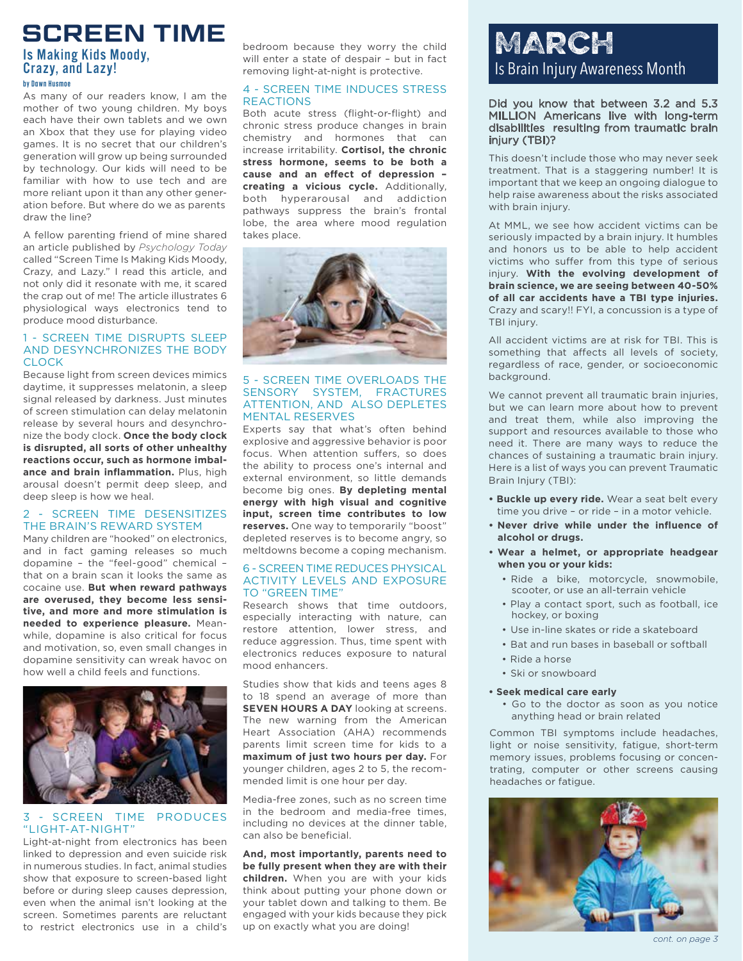## **SCREEN TIME**

### Is Making Kids Moody, Crazy, and Lazy!

#### **by Dawn Husmoe**

As many of our readers know, I am the mother of two young children. My boys each have their own tablets and we own an Xbox that they use for playing video games. It is no secret that our children's generation will grow up being surrounded by technology. Our kids will need to be familiar with how to use tech and are more reliant upon it than any other generation before. But where do we as parents draw the line?

A fellow parenting friend of mine shared an article published by *Psychology Today* called "Screen Time Is Making Kids Moody, Crazy, and Lazy." I read this article, and not only did it resonate with me, it scared the crap out of me! The article illustrates 6 physiological ways electronics tend to produce mood disturbance.

#### 1 - SCREEN TIME DISRUPTS SLEEP AND DESYNCHRONIZES THE BODY CLOCK

Because light from screen devices mimics daytime, it suppresses melatonin, a sleep signal released by darkness. Just minutes of screen stimulation can delay melatonin release by several hours and desynchronize the body clock. **Once the body clock is disrupted, all sorts of other unhealthy reactions occur, such as hormone imbalance and brain inflammation.** Plus, high arousal doesn't permit deep sleep, and deep sleep is how we heal.

#### 2 - SCREEN TIME DESENSITIZES THE BRAIN'S REWARD SYSTEM

Many children are "hooked" on electronics, and in fact gaming releases so much dopamine – the "feel-good" chemical – that on a brain scan it looks the same as cocaine use. **But when reward pathways are overused, they become less sensitive, and more and more stimulation is needed to experience pleasure.** Meanwhile, dopamine is also critical for focus and motivation, so, even small changes in dopamine sensitivity can wreak havoc on how well a child feels and functions.



#### 3 - SCREEN TIME PRODUCES "LIGHT-AT-NIGHT"

Light-at-night from electronics has been linked to depression and even suicide risk in numerous studies. In fact, animal studies show that exposure to screen-based light before or during sleep causes depression, even when the animal isn't looking at the screen. Sometimes parents are reluctant to restrict electronics use in a child's

bedroom because they worry the child will enter a state of despair – but in fact removing light-at-night is protective.

#### 4 - SCREEN TIME INDUCES STRESS REACTIONS

Both acute stress (flight-or-flight) and chronic stress produce changes in brain chemistry and hormones that can increase irritability. **Cortisol, the chronic stress hormone, seems to be both a**  cause and an effect of depression **creating a vicious cycle.** Additionally, both hyperarousal and addiction pathways suppress the brain's frontal lobe, the area where mood regulation takes place.



#### 5 - SCREEN TIME OVERLOADS THE SENSORY SYSTEM, FRACTURES ATTENTION, AND ALSO DEPLETES MENTAL RESERVES

Experts say that what's often behind explosive and aggressive behavior is poor focus. When attention suffers, so does the ability to process one's internal and external environment, so little demands become big ones. **By depleting mental energy with high visual and cognitive input, screen time contributes to low reserves.** One way to temporarily "boost" depleted reserves is to become angry, so meltdowns become a coping mechanism.

#### 6 - SCREEN TIME REDUCES PHYSICAL ACTIVITY LEVELS AND EXPOSURE TO "GREEN TIME"

Research shows that time outdoors, especially interacting with nature, can restore attention, lower stress, and reduce aggression. Thus, time spent with electronics reduces exposure to natural mood enhancers.

Studies show that kids and teens ages 8 to 18 spend an average of more than **SEVEN HOURS A DAY** looking at screens. The new warning from the American Heart Association (AHA) recommends parents limit screen time for kids to a **maximum of just two hours per day.** For younger children, ages 2 to 5, the recommended limit is one hour per day.

Media-free zones, such as no screen time in the bedroom and media-free times, including no devices at the dinner table, can also be beneficial.

**And, most importantly, parents need to be fully present when they are with their children.** When you are with your kids think about putting your phone down or your tablet down and talking to them. Be engaged with your kids because they pick up on exactly what you are doing!

# MARCH Is Brain Injury Awareness Month

#### Did you know that between 3.2 and 5.3 MILLION Americans live with long-term disabilities resulting from traumatic brain injury (TBI)?

This doesn't include those who may never seek treatment. That is a staggering number! It is important that we keep an ongoing dialogue to help raise awareness about the risks associated with brain injury.

At MML, we see how accident victims can be seriously impacted by a brain injury. It humbles and honors us to be able to help accident victims who suffer from this type of serious injury. **With the evolving development of brain science, we are seeing between 40-50% of all car accidents have a TBI type injuries.** Crazy and scary!! FYI, a concussion is a type of TBI injury.

All accident victims are at risk for TBI. This is something that affects all levels of society, regardless of race, gender, or socioeconomic background.

We cannot prevent all traumatic brain injuries, but we can learn more about how to prevent and treat them, while also improving the support and resources available to those who need it. There are many ways to reduce the chances of sustaining a traumatic brain injury. Here is a list of ways you can prevent Traumatic Brain Injury (TBI):

- **Buckle up every ride.** Wear a seat belt every time you drive – or ride – in a motor vehicle.
- **• Never drive while under the influence of alcohol or drugs.**
- **• Wear a helmet, or appropriate headgear when you or your kids:**
	- Ride a bike, motorcycle, snowmobile, scooter, or use an all-terrain vehicle
	- Play a contact sport, such as football, ice hockey, or boxing
	- Use in-line skates or ride a skateboard
	- Bat and run bases in baseball or softball
	- Ride a horse
	- Ski or snowboard

#### **• Seek medical care early**

• Go to the doctor as soon as you notice anything head or brain related

Common TBI symptoms include headaches, light or noise sensitivity, fatigue, short-term memory issues, problems focusing or concentrating, computer or other screens causing headaches or fatigue.



*cont. on page 3*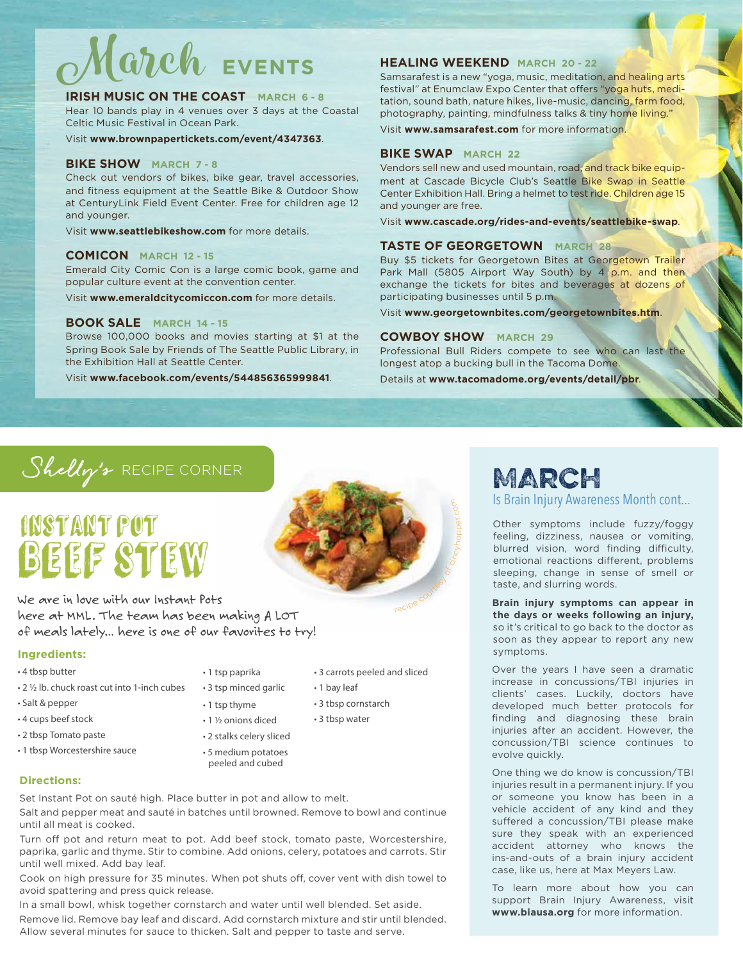# March **EVENTS**

#### **IRISH MUSIC ON THE COAST MARCH 6 - 8**

Hear 10 bands play in 4 venues over 3 days at the Coastal Celtic Music Festival in Ocean Park.

Visit **www.brownpapertickets.com/event/4347363**.

#### **BIKE SHOW MARCH 7 - 8**

Check out vendors of bikes, bike gear, travel accessories, and fitness equipment at the Seattle Bike & Outdoor Show at CenturyLink Field Event Center. Free for children age 12 and younger.

Visit **www.seattlebikeshow.com** for more details.

#### **COMICON MARCH 12 - 15**

Emerald City Comic Con is a large comic book, game and popular culture event at the convention center.

Visit **www.emeraldcitycomiccon.com** for more details.

#### **BOOK SALE MARCH 14 - 15**

Browse 100,000 books and movies starting at \$1 at the Spring Book Sale by Friends of The Seattle Public Library, in the Exhibition Hall at Seattle Center.

Visit **www.facebook.com/events/544856365999841**.

#### **HEALING WEEKEND MARCH 20 - 22**

Samsarafest is a new "yoga, music, meditation, and healing arts festival" at Enumclaw Expo Center that offers "yoga huts, meditation, sound bath, nature hikes, live-music, dancing, farm food, photography, painting, mindfulness talks & tiny home living."

Visit **www.samsarafest.com** for more information.

#### **BIKE SWAP MARCH 22**

Vendors sell new and used mountain, road, and track bike equipment at Cascade Bicycle Club's Seattle Bike Swap in Seattle Center Exhibition Hall. Bring a helmet to test ride. Children age 15 and younger are free.

Visit **www.cascade.org/rides-and-events/seattlebike-swap**.

#### **TASTE OF GEORGETOWN MARCH 28**

Buy \$5 tickets for Georgetown Bites at Georgetown Trailer Park Mall (5805 Airport Way South) by 4 p.m. and then exchange the tickets for bites and beverages at dozens of participating businesses until 5 p.m.

Visit **www.georgetownbites.com/georgetownbites.htm**.

#### **COWBOY SHOW MARCH 29**

Professional Bull Riders compete to see who can last the longest atop a bucking bull in the Tacoma Dome.

Details at **www.tacomadome.org/events/detail/pbr**.

### Shelly's RECIPE CORNER

# Instant Pot BEEF STEW

We are in love with our Instant Pots here at MML. The team has been making A LOT of meals lately… here is one of our favorites to try!

#### **Ingredients:**

- 4 tbsp butter
- 2 ½ lb. chuck roast cut into 1-inch cubes
- Salt & pepper
- 4 cups beef stock
- 2 tbsp Tomato paste

**Directions:**

- 1 tbsp Worcestershire sauce
- 1 tsp paprika

• 3 tsp minced garlic • 1 tsp thyme • 1 ½ onions diced

- 3 carrots peeled and sliced
- 1 bay leaf
- 3 tbsp cornstarch
- 3 tbsp water
- 2 stalks celery sliced • 5 medium potatoes peeled and cubed

Set Instant Pot on sauté high. Place butter in pot and allow to melt.

Salt and pepper meat and sauté in batches until browned. Remove to bowl and continue until all meat is cooked.

Turn off pot and return meat to pot. Add beef stock, tomato paste, Worcestershire, paprika, garlic and thyme. Stir to combine. Add onions, celery, potatoes and carrots. Stir until well mixed. Add bay leaf.

Cook on high pressure for 35 minutes. When pot shuts off, cover vent with dish towel to avoid spattering and press quick release.

In a small bowl, whisk together cornstarch and water until well blended. Set aside. Remove lid. Remove bay leaf and discard. Add cornstarch mixture and stir until blended. Allow several minutes for sauce to thicken. Salt and pepper to taste and serve.



### MARCH

Is Brain Injury Awareness Month cont...

Other symptoms include fuzzy/foggy feeling, dizziness, nausea or vomiting, blurred vision, word finding difficulty, emotional reactions different, problems sleeping, change in sense of smell or taste, and slurring words.

**Brain injury symptoms can appear in the days or weeks following an injury,** so it's critical to go back to the doctor as soon as they appear to report any new symptoms.

Over the years I have seen a dramatic increase in concussions/TBI injuries in clients' cases. Luckily, doctors have developed much better protocols for finding and diagnosing these brain injuries after an accident. However, the concussion/TBI science continues to evolve quickly.

One thing we do know is concussion/TBI injuries result in a permanent injury. If you or someone you know has been in a vehicle accident of any kind and they suffered a concussion/TBI please make sure they speak with an experienced accident attorney who knows the ins-and-outs of a brain injury accident case, like us, here at Max Meyers Law.

To learn more about how you can support Brain Injury Awareness, visit **www.biausa.org** for more information.